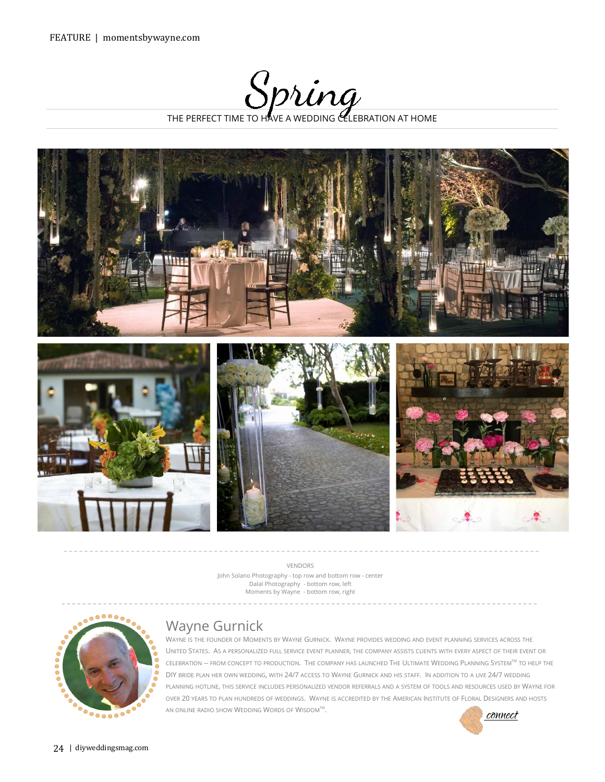THE PERFECT TIME TO HAVE A WEDDING CELEBRATION AT HOME



VENDORS [John Solano Photography](http://www.imagemakr.com/) - top row and bottom row - center [Dalal Photography](http://www.dalalphotography.com/) - bottom row, left [Moments by Wayne](http://momentsbywayne.com/) - bottom row, right



## Wayne Gurnick

WAYNE IS THE FOUNDER OF MOMENTS BY WAYNE GURNICK. WAYNE PROVIDES WEDDING AND EVENT PLANNING SERVICES ACROSS THE UNITED STATES. AS A PERSONALIZED FULL SERVICE EVENT PLANNER, THE COMPANY ASSISTS CLIENTS WITH EVERY ASPECT OF THEIR EVENT OR CELEBRATION -- FROM CONCEPT TO PRODUCTION. THE COMPANY HAS LAUNCHED THE ULTIMATE WEDDING PLANNING [SYSTEMTM](http://momentsbywayne.com/ultimate-wedding-planning-system) TO HELP THE DIY BRIDE PLAN HER OWN WEDDING, WITH 24/7 ACCESS TO WAYNE GURNICK AND HIS STAFF. IN ADDITION TO A LIVE 24/7 WEDDING PLANNING HOTLINE, THIS SERVICE INCLUDES PERSONALIZED VENDOR REFERRALS AND A SYSTEM OF TOOLS AND RESOURCES USED BY WAYNE FOR OVER 20 YEARS TO PLAN HUNDREDS OF WEDDINGS. WAYNE IS ACCREDITED BY THE AMERICAN INSTITUTE OF FLORAL DESIGNERS AND HOSTS AN ONLINE RADIO SHOW WEDDING WORDS OF WISDOM<sup>TM</sup>.  $\mathcal{L}$